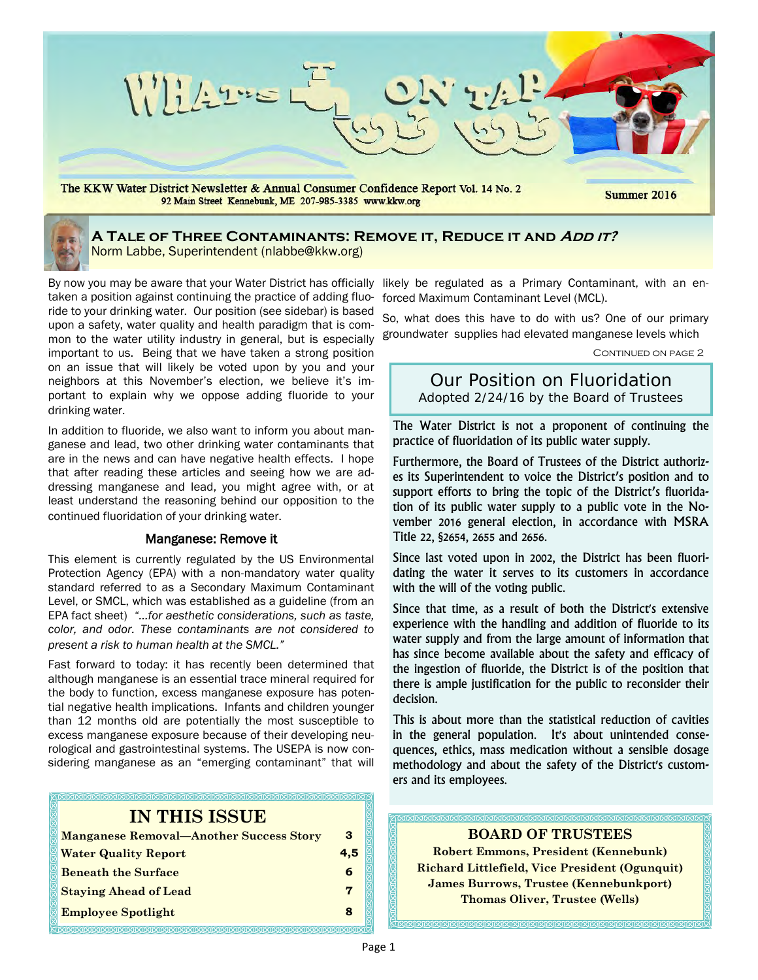

## **A Tale of Three Contaminants: Remove it, Reduce it and Add it?** Norm Labbe, Superintendent (nlabbe@kkw.org)

By now you may be aware that your Water District has officially likely be regulated as a Primary Contaminant, with an entaken a position against continuing the practice of adding fluoride to your drinking water. Our position (see sidebar) is based upon a safety, water quality and health paradigm that is common to the water utility industry in general, but is especially important to us. Being that we have taken a strong position on an issue that will likely be voted upon by you and your neighbors at this November's election, we believe it's important to explain why we oppose adding fluoride to your drinking water.

In addition to fluoride, we also want to inform you about manganese and lead, two other drinking water contaminants that are in the news and can have negative health effects. I hope that after reading these articles and seeing how we are addressing manganese and lead, you might agree with, or at least understand the reasoning behind our opposition to the continued fluoridation of your drinking water.

### Manganese: Remove it

This element is currently regulated by the US Environmental Protection Agency (EPA) with a non-mandatory water quality standard referred to as a Secondary Maximum Contaminant Level, or SMCL, which was established as a guideline (from an EPA fact sheet) *"…for aesthetic considerations, such as taste, color, and odor. These contaminants are not considered to present a risk to human health at the SMCL."*

Fast forward to today: it has recently been determined that although manganese is an essential trace mineral required for the body to function, excess manganese exposure has potential negative health implications. Infants and children younger than 12 months old are potentially the most susceptible to excess manganese exposure because of their developing neurological and gastrointestinal systems. The USEPA is now considering manganese as an "emerging contaminant" that will

# **IN THIS ISSUE**

| <b>Manganese Removal—Another Success Story</b> | з   |
|------------------------------------------------|-----|
| <b>Water Quality Report</b>                    | 4.5 |
| <b>Beneath the Surface</b>                     | 6   |
| <b>Staying Ahead of Lead</b>                   |     |
| <b>Employee Spotlight</b>                      |     |
|                                                |     |

forced Maximum Contaminant Level (MCL).

So, what does this have to do with us? One of our primary groundwater supplies had elevated manganese levels which

CONTINUED ON PAGE 2

Our Position on Fluoridation Adopted 2/24/16 by the Board of Trustees

The Water District is not a proponent of continuing the practice of fluoridation of its public water supply.

Furthermore, the Board of Trustees of the District authorizes its Superintendent to voice the District's position and to support efforts to bring the topic of the District's fluoridation of its public water supply to a public vote in the November 2016 general election, in accordance with MSRA Title 22, §2654, 2655 and 2656.

Since last voted upon in 2002, the District has been fluoridating the water it serves to its customers in accordance with the will of the voting public.

Since that time, as a result of both the District's extensive experience with the handling and addition of fluoride to its water supply and from the large amount of information that has since become available about the safety and efficacy of the ingestion of fluoride, the District is of the position that there is ample justification for the public to reconsider their decision.

This is about more than the statistical reduction of cavities in the general population. It's about unintended consequences, ethics, mass medication without a sensible dosage methodology and about the safety of the District's customers and its employees.

### **BOARD OF TRUSTEES**

**Robert Emmons, President (Kennebunk) Richard Littlefield, Vice President (Ogunquit) James Burrows, Trustee (Kennebunkport) Thomas Oliver, Trustee (Wells)**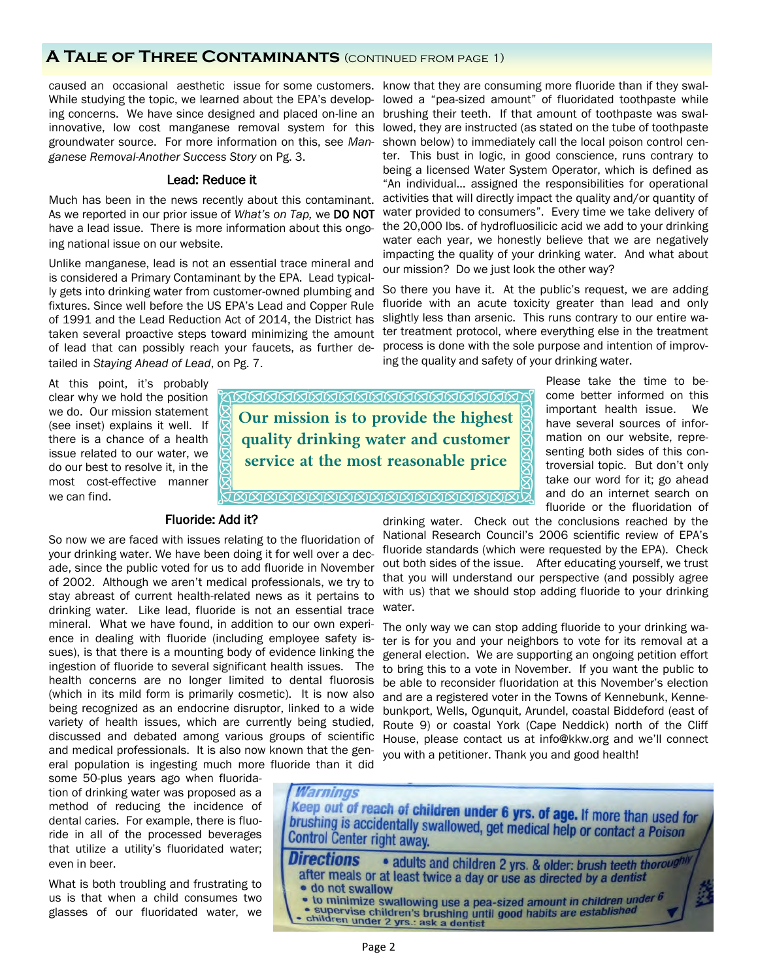# **A Tale of Three Contaminants** (continued from page 1)

caused an occasional aesthetic issue for some customers. know that they are consuming more fluoride than if they swal-While studying the topic, we learned about the EPA's develop- lowed a "pea-sized amount" of fluoridated toothpaste while ing concerns. We have since designed and placed on-line an innovative, low cost manganese removal system for this groundwater source. For more information on this, see *Manganese Removal-Another Success Story* on Pg. 3.

### Lead: Reduce it

Much has been in the news recently about this contaminant. As we reported in our prior issue of *What's on Tap,* we DO NOT have a lead issue. There is more information about this ongoing national issue on our website.

Unlike manganese, lead is not an essential trace mineral and is considered a Primary Contaminant by the EPA. Lead typically gets into drinking water from customer-owned plumbing and fixtures. Since well before the US EPA's Lead and Copper Rule of 1991 and the Lead Reduction Act of 2014, the District has taken several proactive steps toward minimizing the amount of lead that can possibly reach your faucets, as further detailed in *Staying Ahead of Lead*, on Pg. 7.

At this point, it's probably clear why we hold the position we do. Our mission statement (see inset) explains it well. If there is a chance of a health issue related to our water, we do our best to resolve it, in the most cost-effective manner we can find.

### Fluoride: Add it?

So now we are faced with issues relating to the fluoridation of your drinking water. We have been doing it for well over a decade, since the public voted for us to add fluoride in November of 2002. Although we aren't medical professionals, we try to stay abreast of current health-related news as it pertains to drinking water. Like lead, fluoride is not an essential trace mineral. What we have found, in addition to our own experience in dealing with fluoride (including employee safety issues), is that there is a mounting body of evidence linking the ingestion of fluoride to several significant health issues. The health concerns are no longer limited to dental fluorosis (which in its mild form is primarily cosmetic). It is now also being recognized as an endocrine disruptor, linked to a wide variety of health issues, which are currently being studied, discussed and debated among various groups of scientific and medical professionals. It is also now known that the general population is ingesting much more fluoride than it did

some 50-plus years ago when fluoridation of drinking water was proposed as a method of reducing the incidence of dental caries. For example, there is fluoride in all of the processed beverages that utilize a utility's fluoridated water; even in beer.

What is both troubling and frustrating to us is that when a child consumes two glasses of our fluoridated water, we

<u>KAMMAMMAMMAMMAMMAMMA</u> **Our mission is to provide the highest quality drinking water and customer service at the most reasonable price** 

**TAAAAAAAAAAAAAAAAAAAAAA** 

 $\boxtimes$ **A** 

senting both sides of this controversial topic. But don't only take our word for it; go ahead and do an internet search on fluoride or the fluoridation of drinking water. Check out the conclusions reached by the

National Research Council's 2006 scientific review of EPA's fluoride standards (which were requested by the EPA). Check out both sides of the issue. After educating yourself, we trust that you will understand our perspective (and possibly agree with us) that we should stop adding fluoride to your drinking water.

The only way we can stop adding fluoride to your drinking water is for you and your neighbors to vote for its removal at a general election. We are supporting an ongoing petition effort to bring this to a vote in November. If you want the public to be able to reconsider fluoridation at this November's election and are a registered voter in the Towns of Kennebunk, Kennebunkport, Wells, Ogunquit, Arundel, coastal Biddeford (east of Route 9) or coastal York (Cape Neddick) north of the Cliff House, please contact us at info@kkw.org and we'll connect you with a petitioner. Thank you and good health!



brushing their teeth. If that amount of toothpaste was swallowed, they are instructed (as stated on the tube of toothpaste shown below) to immediately call the local poison control center. This bust in logic, in good conscience, runs contrary to being a licensed Water System Operator, which is defined as "An individual… assigned the responsibilities for operational activities that will directly impact the quality and/or quantity of water provided to consumers". Every time we take delivery of the 20,000 lbs. of hydrofluosilicic acid we add to your drinking water each year, we honestly believe that we are negatively impacting the quality of your drinking water. And what about our mission? Do we just look the other way?

So there you have it. At the public's request, we are adding fluoride with an acute toxicity greater than lead and only slightly less than arsenic. This runs contrary to our entire water treatment protocol, where everything else in the treatment process is done with the sole purpose and intention of improving the quality and safety of your drinking water.

> Please take the time to become better informed on this important health issue. We have several sources of information on our website, repre-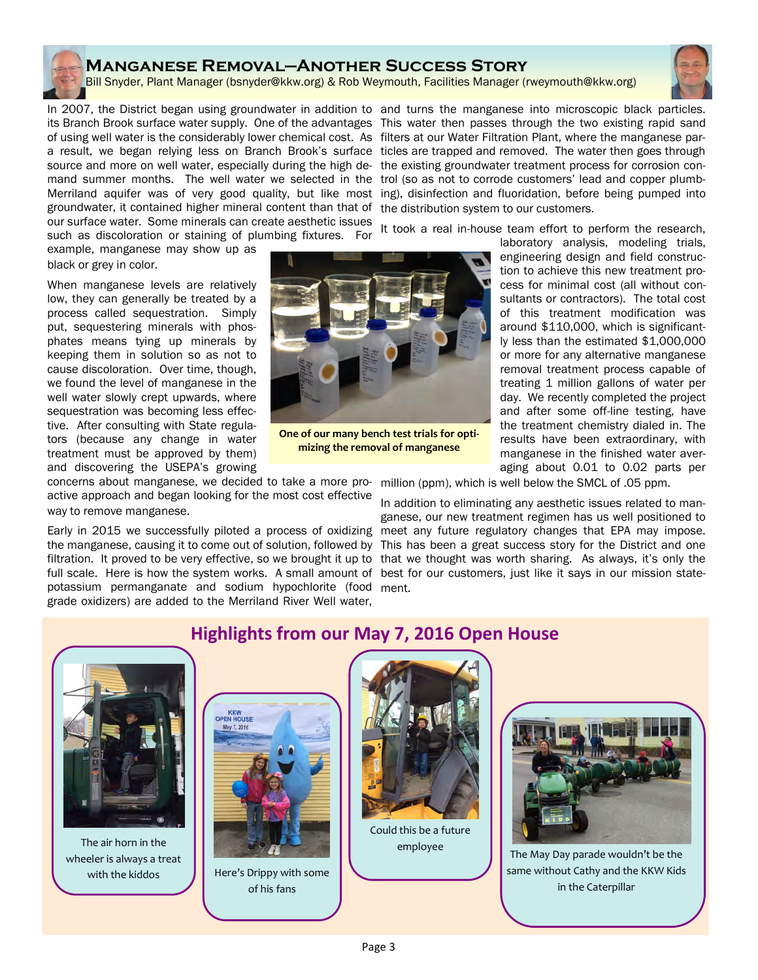# **Manganese Removal—Another Success Story**

Bill Snyder, Plant Manager (bsnyder@kkw.org) & Rob Weymouth, Facilities Manager (rweymouth@kkw.org)



In 2007, the District began using groundwater in addition to and turns the manganese into microscopic black particles. its Branch Brook surface water supply. One of the advantages This water then passes through the two existing rapid sand of using well water is the considerably lower chemical cost. As filters at our Water Filtration Plant, where the manganese para result, we began relying less on Branch Brook's surface ticles are trapped and removed. The water then goes through source and more on well water, especially during the high de- the existing groundwater treatment process for corrosion conmand summer months. The well water we selected in the trol (so as not to corrode customers' lead and copper plumb-Merriland aquifer was of very good quality, but like most ing), disinfection and fluoridation, before being pumped into groundwater, it contained higher mineral content than that of our surface water. Some minerals can create aesthetic issues such as discoloration or staining of plumbing fixtures. For

example, manganese may show up as black or grey in color.

When manganese levels are relatively low, they can generally be treated by a process called sequestration. Simply put, sequestering minerals with phosphates means tying up minerals by keeping them in solution so as not to cause discoloration. Over time, though, we found the level of manganese in the well water slowly crept upwards, where sequestration was becoming less effective. After consulting with State regulators (because any change in water treatment must be approved by them) and discovering the USEPA's growing

concerns about manganese, we decided to take a more pro-million (ppm), which is well below the SMCL of .05 ppm. active approach and began looking for the most cost effective way to remove manganese.

the manganese, causing it to come out of solution, followed by filtration. It proved to be very effective, so we brought it up to full scale. Here is how the system works. A small amount of best for our customers, just like it says in our mission statepotassium permanganate and sodium hypochlorite (food ment. grade oxidizers) are added to the Merriland River Well water,

the distribution system to our customers.

It took a real in-house team effort to perform the research,

laboratory analysis, modeling trials, engineering design and field construction to achieve this new treatment process for minimal cost (all without consultants or contractors). The total cost of this treatment modification was around \$110,000, which is significantly less than the estimated \$1,000,000 or more for any alternative manganese removal treatment process capable of treating 1 million gallons of water per day. We recently completed the project and after some off-line testing, have the treatment chemistry dialed in. The results have been extraordinary, with manganese in the finished water averaging about 0.01 to 0.02 parts per

**One of our many bench test trials for optimizing the removal of manganese**

Early in 2015 we successfully piloted a process of oxidizing meet any future regulatory changes that EPA may impose. In addition to eliminating any aesthetic issues related to manganese, our new treatment regimen has us well positioned to This has been a great success story for the District and one that we thought was worth sharing. As always, it's only the

# **Highlights from our May 7, 2016 Open House**



The air horn in the wheeler is always a treat



with the kiddos  $\Vert$  Here's Drippy with some of his fans



employee



The May Day parade wouldn't be the same without Cathy and the KKW Kids in the Caterpillar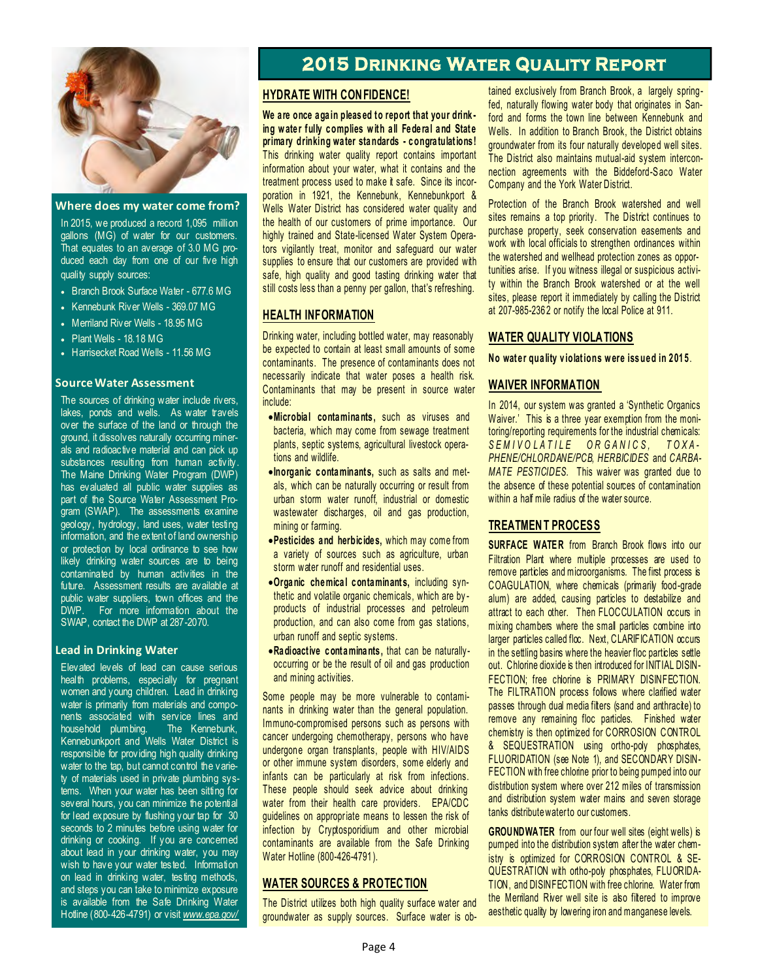

### **Where does my water come from?**

In 2015, we produced a record 1,095 million gallons (MG) of water for our customers. That equates to an average of 3.0 MG produced each day from one of our five high quality supply sources:

- Branch Brook Surface Water 677.6 MG
- Kennebunk River Wells 369.07 MG
- Merriland River Wells 18.95 MG
- Plant Wells 18.18 MG
- Harrisecket Road Wells 11.56 MG

### **Source Water Assessment**

The sources of drinking water include rivers, lakes, ponds and wells. As water travels over the surface of the land or through the ground, it dissolves naturally occurring minerals and radioactive material and can pick up substances resulting from human activity. The Maine Drinking Water Program (DWP) has evaluated all public water supplies as part of the Source Water Assessment Program (SWAP). The assessments examine geology, hydrology, land uses, water testing information, and the extent of land ownership or protection by local ordinance to see how likely drinking water sources are to being contaminated by human activities in the future. Assessment results are available at public water suppliers, town offices and the DWP. For more information about the SWAP, contact the DWP at 287-2070.

### **Lead in Drinking Water**

Elevated levels of lead can cause serious health problems, especially for pregnant women and young children. Lead in drinking water is primarily from materials and components associated with service lines and household plumbing. The Kennebunk, Kennebunkport and Wells Water District is responsible for providing high quality drinking water to the tap, but cannot control the variety of materials used in private plumbing systems. When your water has been sitting for several hours, you can minimize the potential for lead exposure by flushing your tap for 30 seconds to 2 minutes before using water for drinking or cooking. If you are concerned about lead in your drinking water, you may wish to have your water tested. Information on lead in drinking water, testing methods, and steps you can take to minimize exposure is available from the Safe Drinking Water Hotline (800-426-4791) or visit *www.epa.gov/*

# **2015 Drinking Water Quality Report EXECUTE DRINK**<br> **HYDRATE WITH CONFIDENCE!**<br>
We are once again pleased to report

**2015 DRINKING WA<br>
<b>EXECTE ANTE WITH CONFIDENCE!**<br>
We are once again pleased to report that your drink-<br>
ing water fully complies with all Federal and State **2015 DRINKING WA'**<br> **in Fig. 2015 PRINKING WAY**<br> **ing water fully complies with all Federal and State**<br> **primary drinking water standards - congratulations! PRATE WITH CONFIDENCE!**<br>We are once again pleased to report that your drink-<br>ing water fully complies with all Federal and State<br>primary drinking water standards - congratulations!<br>This drinking water quality report conta This drinking water quality report contains important information about your water, what it contains and the treatment process used to make it safe. Since its incorporation in 1921, the Kennebunk, Kennebunkport & Wells Water District has considered water quality and the health of our customers of prime importance. Our highly trained and State-licensed Water System Operators vigilantly treat, monitor and safeguard our water supplies to ensure that our customers are provided with safe, high quality and good tasting drinking water that still costs less than a penny per gallon, that's refreshing.

### **HEALTH INFORMATION**

Drinking water, including bottled water, may reasonably be expected to contain at least small amounts of some contaminants. The presence of contaminants does not necessarily indicate that water poses a health risk. Contaminants that may be present in source water include: **Expected to contain at least small amounts or some postmannants.** The presence of contaminants does no ecessarily indicate that water poses a health risk ontaminants that may be present in source wate clude:<br>• Microbial

- bacteria, which may come from sewage treatment plants, septic systems, agricultural livestock operations and wildlife. **Inicrobial contaminants,** such as viruses and bacteria, which may come from sewage treatment plants, septic systems, agricultural livestock operations and wildlife.<br> **Inorganic contaminants,** such as salts and met-
- als, which can be naturally occurring or result from urban storm water runoff, industrial or domestic wastewater discharges, oil and gas production, mining or farming. **Performation Containmants, such as saits and metals, which can be naturally occurring or result from urban storm water runoff, industrial or domestic wastewater discharges, oil and gas production, mining or farming.**<br>**Pes**
- a variety of sources such as agriculture, urban storm water runoff and residential uses. **Correct minants, and the minants, including or farming.**<br> **Pesticides and herbicides,** which may come from<br>
a variety of sources such as agriculture, urban<br>
storm water runoff and residential uses.<br>
• Organic chemical con
- thetic and volatile organic chemicals, which are by products of industrial processes and petroleum production, and can also come from gas stations, urban runoff and septic systems. • Organic chemical contaminants, including syn-<br>thetic and volatile organic chemicals, which are by-<br>products of industrial processes and petroleum<br>production, and can also come from gas stations,<br>urban runoff and septic s
- occurring or be the result of oil and gas production and mining activities.

Some people may be more vulnerable to contaminants in drinking water than the general population. Immuno-compromised persons such as persons with cancer undergoing chemotherapy, persons who have Some people may be more vulnerable to contaminants in drinking water than the general population.<br>Immuno-compromised persons such as persons with cancer undergoing chemotherapy, persons who have undergone organ transplants or other immune system disorders, some elderly and infants can be particularly at risk from infections. Immuno-compromised persons such as persons with<br>cancer undergoing chemotherapy, persons who have<br>undergone organ transplants, people with HIV/AIDS<br>or other immune system disorders, some elderly and<br>infants can be particula water from their health care providers. EPA/CDC guidelines on appropriate means to lessen the risk of infection by Cryptosporidium and other microbial contaminants are available from the Safe Drinking These people should seek a<br>water from their health care<br>guidelines on appropriate meal<br>infection by Cryptosporidium<br>contaminants are available fr<br>Water Hotline (800-426-4791). water from their health care provides.<br>
guidelines on appropriate means to lessen<br>
infection by Cryptosporidium and other<br>
contaminants are available from the Saf<br>
WATER SOURCES & PROTECTION<br>
The District utilizes both hig

The District utilizes both high quality surface water and groundwater as supply sources. Surface water is obtained exclusively from Branch Brook, a largely springfed, naturally flowing water body that originates in Sanford and forms the town line between Kennebunk and Wells. In addition to Branch Brook, the District obtains tained exclusively from Branch Brook, a largely spring-<br>fed, naturally flowing water body that originates in San-<br>ford and forms the town line between Kennebunk and<br>Wells. In addition to Branch Brook, the District obtains<br> red, naturally flowing water body that originates in San-<br>ford and forms the town line between Kennebunk and<br>Wells. In addition to Branch Brook, the District obtains<br>groundwater from its four naturally developed well sites Company and the York Water District.

Protection of the Branch Brook watershed and well sites remains a top priority. The District continues to purchase property, seek conservation easements and work with local officials to strengthen ordinances within the watershed and wellhead protection zones as opportunities arise. If you witness illegal or suspicious activity within the Branch Brook watershed or at the well sites, please report it immediately by calling the District<br>at 207-985-2362 or notify the local Police at 911.<br>WATER QUALITY VIOLATIONS<br>No water quality violations were issued in 2015. work with local officials to strengthen ordinances<br>the watershed and wellhead protection zones as<br>tunities arise. If you witness illegal or suspicious<br>ty within the Branch Brook watershed or at th<br>sites, please report it i at 207-985-2362 or notify the local Police at 911.<br>**WATER QUALITY VIOLA TIONS**<br>No water quality violations were issued in 2015.

### **WAIVER INFORMATION**

In 2014, our system was granted a 'Synthetic Organics Waiver.' This is a three year exemption from the monitoring/reporting requirements for the industrial chemicals: **WAIVER INFORMATION**<br>In 2014, our system was granted a 'Synthetic Organics<br>Waiver.' This is a three year exemption from the moni-<br>toring/reporting requirements for the industrial chemicals:<br>S E M I V O L A T I L E OR G A N *PHENE/CHLORDANE/PCB, HERBICIDES* and *CARBA-MATE PESTICIDES.* This waiver was granted due to the absence of these potential sources of contamination within a half mile radius of the water source. **SEMIVOLATILE OR GANICS, TOXA-**<br>
PHENE/CHLORDANE/PCB, HERBICIDES and CARBA-<br>
MATE PESTICIDES. This waiver was granted due to<br>
the absence of these potential sources of contamination<br>
within a half mile radius of the water the absence of these potential sources of contamination<br>within a half mile radius of the water source.<br>**TREATMENT PROCESS**<br>SURFACE WATER from Branch Brook flows into our<br>Filtration Plant where multiple processes are used t

remove particles and microorganisms. The first process is COAGULATION, where chemicals (primarily food-grade alum) are added, causing particles to destabilize and attract to each other. Then FLOCCULATION occurs in mixing chambers where the small particles combine into larger particles called floc. Next, CLARIFICATION occurs in the settling basins where the heavier floc particles settle out. Chlorine dioxide is then introduced for INITIAL DISIN-FECTION; free chlorine is PRIMARY DISINFECTION. The FILTRATION process follows where clarified water passes through dual media filters (sand and anthracite) to remove any remaining floc particles. Finished water chemistry is then optimized for CORROSION CONTROL & SEQUESTRATION using ortho-poly phosphates, FLUORIDATION (see Note 1), and SECONDARY DISIN-FECTION with free chlorine prior to being pumped into our distribution system where over 212 miles of transmission and distribution system water mains and seven storage tanks distribute water to our customers.

**GROUNDWATER** from our four well sites (eight wells) is pumped into the distribution system after the water chemistry is optimized for CORROSION CONTROL & SE-QUESTRATION with ortho-poly phosphates, FLUORIDA-TION, and DISINFECTION with free chlorine. Water from the Merriland River well site is also filtered to improve aesthetic quality by lowering iron and manganese levels.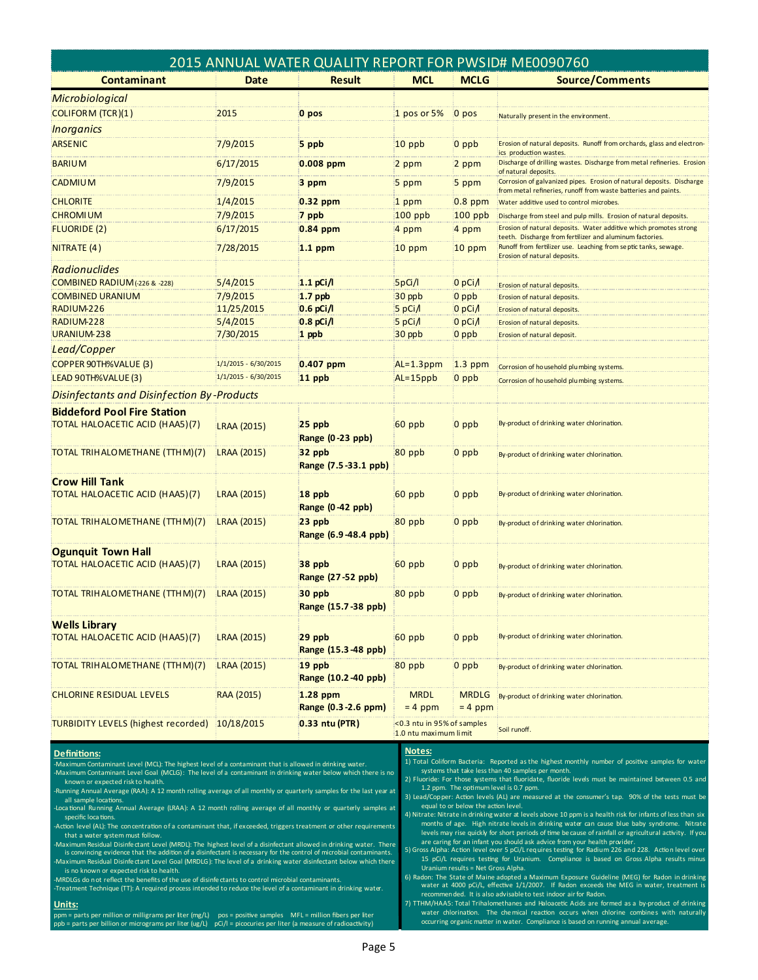| 2015 ANNUAL WATER QUALITY REPORT FOR PWSID# ME0090760        |                      |                                     |                                                     |                           |                                                                                                                                                             |  |  |  |
|--------------------------------------------------------------|----------------------|-------------------------------------|-----------------------------------------------------|---------------------------|-------------------------------------------------------------------------------------------------------------------------------------------------------------|--|--|--|
| <b>Contaminant</b>                                           | Date                 | <b>Result</b>                       | <b>MCL</b>                                          | <b>MCLG</b>               | <b>Source/Comments</b>                                                                                                                                      |  |  |  |
| Microbiological                                              |                      |                                     |                                                     |                           |                                                                                                                                                             |  |  |  |
| <b>COLIFORM (TCR)(1)</b>                                     | 2015                 | 0 pos                               | 1 pos or 5%                                         | 0 pos                     | Naturally present in the environment.                                                                                                                       |  |  |  |
| <i><b>Inorganics</b></i>                                     |                      |                                     |                                                     |                           |                                                                                                                                                             |  |  |  |
| <b>ARSENIC</b>                                               | 7/9/2015             | 5 ppb                               | $10$ ppb                                            | 0 ppb                     | Erosion of natural deposits. Runoff from orchards, glass and electron-                                                                                      |  |  |  |
|                                                              |                      |                                     |                                                     |                           | ics production wastes.                                                                                                                                      |  |  |  |
| <b>BARIUM</b>                                                | 6/17/2015            | $0.008$ ppm                         | 2 ppm                                               | 2 ppm                     | Discharge of drilling wastes. Discharge from metal refineries. Erosion<br>of natural deposits.                                                              |  |  |  |
| <b>CADMIUM</b>                                               | 7/9/2015             | 3 ppm                               | 5 ppm                                               | 5 ppm                     | Corrosion of galvanized pipes. Erosion of natural deposits. Discharge<br>from metal refineries, runoff from waste batteries and paints.                     |  |  |  |
| <b>CHLORITE</b>                                              | 1/4/2015             | $0.32$ ppm                          | 1 ppm                                               | 0.8 ppm                   | Water additive used to control microbes.                                                                                                                    |  |  |  |
| <b>CHROMIUM</b>                                              | 7/9/2015             | 7 ppb                               | $100$ ppb                                           | $100$ ppb                 | Discharge from steel and pulp mills. Erosion of natural deposits.                                                                                           |  |  |  |
| <b>FLUORIDE (2)</b>                                          | 6/17/2015            | 0.84 ppm                            | 4 ppm                                               | 4 ppm                     | Erosion of natural deposits. Water additive which promotes strong                                                                                           |  |  |  |
| NITRATE (4)                                                  | 7/28/2015            | $1.1$ ppm                           | $10$ ppm                                            | $10$ ppm                  | teeth. Discharge from fertilizer and aluminum factories.<br>Runoff from fertilizer use. Leaching from septic tanks, sewage.<br>Erosion of natural deposits. |  |  |  |
| <b>Radionuclides</b>                                         |                      |                                     |                                                     |                           |                                                                                                                                                             |  |  |  |
| <b>COMBINED RADIUM</b> (-226 & -228)                         | 5/4/2015             | $1.1$ pCi/l                         | 5pG/l                                               | 0 pCi $\Lambda$           | Erosion of natural deposits.                                                                                                                                |  |  |  |
| <b>COMBINED URANIUM</b>                                      | 7/9/2015             | $1.7$ ppb                           | 30 ppb                                              | 0 ppb                     | Erosion of natural deposits.                                                                                                                                |  |  |  |
| RADIUM-226                                                   | 11/25/2015           | $0.6$ pCi/l                         | 5 pCi/l                                             | 0 pCi $\Lambda$           | Erosion of natural deposits.                                                                                                                                |  |  |  |
| RADIUM-228                                                   | 5/4/2015             | $0.8$ pCi/l                         | 5 pCi/l                                             | $0$ pCi $\Lambda$         | Erosion of natural deposits.                                                                                                                                |  |  |  |
| URANIUM-238                                                  | 7/30/2015            | 1 ppb                               | 30 ppb                                              | 0 ppb                     | Erosion of natural deposit.                                                                                                                                 |  |  |  |
| Lead/Copper                                                  |                      |                                     |                                                     |                           |                                                                                                                                                             |  |  |  |
| COPPER 90TH%VALUE (3)                                        | 1/1/2015 - 6/30/2015 | $0.407$ ppm                         | $AL=1.3$ ppm                                        | $1.3$ ppm                 | Corrosion of household plumbing systems.                                                                                                                    |  |  |  |
| LEAD 90TH%VALUE (3)                                          | 1/1/2015 - 6/30/2015 | 11 ppb                              | $AL = 15$ ppb                                       | 0 ppb                     | Corrosion of household plumbing systems.                                                                                                                    |  |  |  |
| Disinfectants and Disinfection By-Products                   |                      |                                     |                                                     |                           |                                                                                                                                                             |  |  |  |
| <b>Biddeford Pool Fire Station</b>                           |                      |                                     |                                                     |                           |                                                                                                                                                             |  |  |  |
| TOTAL HALOACETIC ACID (HAA5)(7)                              | LRAA (2015)          | 25 ppb<br>Range (0-23 ppb)          | 60 ppb                                              | 0 ppb                     | By-product of drinking water chlorination.                                                                                                                  |  |  |  |
| TOTAL TRIH ALOMETHANE (TTHM)(7)                              | LRAA (2015)          | 32 ppb<br>Range (7.5 - 33.1 ppb)    | 80 ppb                                              | 0 ppb                     | By-product of drinking water chlorination.                                                                                                                  |  |  |  |
| <b>Crow Hill Tank</b><br>TOTAL HALOACETIC ACID (HAA5)(7)     | LRAA (2015)          | 18 ppb<br><b>Range (0-42 ppb)</b>   | 60 ppb                                              | $0$ ppb                   | By-product of drinking water chlorination.                                                                                                                  |  |  |  |
| TOTAL TRIH ALOMETHANE (TTHM)(7)                              | LRAA (2015)          | 23 ppb<br>Range (6.9-48.4 ppb)      | 80 ppb                                              | 0 ppb                     | By-product of drinking water chlorination.                                                                                                                  |  |  |  |
| <b>Ogunquit Town Hall</b><br>TOTAL HALOACETIC ACID (HAA5)(7) | LRAA (2015)          | 38 ppb<br>Range (27 - 52 ppb)       | 60 ppb                                              | $0$ ppb                   | By-product of drinking water chlorination.                                                                                                                  |  |  |  |
| TOTAL TRIH ALOMETHANE (TTHM)(7)                              | <b>LRAA (2015)</b>   | 30 ppb<br>Range (15.7-38 ppb)       | 80 ppb                                              | 0 ppb                     | By-product of drinking water chlorination.                                                                                                                  |  |  |  |
| <b>Wells Library</b><br>TOTAL HALOACETIC ACID (HAA5)(7)      | LRAA (2015)          | 29 ppb<br>Range (15.3 48 ppb)       | 60 ppb                                              | $0$ ppb                   | By-product of drinking water chlorination.                                                                                                                  |  |  |  |
| TOTAL TRIH ALOMETHANE (TTH M)(7)                             | LRAA (2015)          | 19 ppb<br>Range (10.2-40 ppb)       | 80 ppb                                              | 0 ppb                     | By-product of drinking water chlorination.                                                                                                                  |  |  |  |
| <b>CHLORINE RESIDUAL LEVELS</b>                              | RAA (2015)           | $1.28$ ppm<br>Range (0.3 - 2.6 ppm) | <b>MRDL</b><br>$= 4$ ppm                            | <b>MRDLG</b><br>$= 4$ ppm | By-product of drinking water chlorination.                                                                                                                  |  |  |  |
| <b>TURBIDITY LEVELS (highest recorded)</b>                   | 10/18/2015           | 0.33 ntu (PTR)                      | <0.3 ntu in 95% of samples<br>1.0 ntu maximum limit |                           | Soil runoff.                                                                                                                                                |  |  |  |

### **Definitions:**

-Maximum Contaminant Level (MCL): The highest level of a contaminant that is allowed in drinking water.<br>-Maximum Contaminant Level Goal (MCLG): The level of a contaminant in drinking water below which there

known or expected risk to health. Running Annual Average (RAA): A 12 month rolling average of all monthly or quarterly samples for the last year at

all sample locations -Maximum Contaminant Level Goal (MCLG): The level of a contaminant in drinking water below which there is no<br>known or expected risk to health.<br>Running Annual Average (RAA): A 12 month rolling average of all monthly or quar

Action level (AL): The concentration of a contaminant that, if exceeded, triggers treatment or other requirements

that a water system must follow. -Loca tional Running Annual Average (LRAA): A 12 month rolling average of all monthly or quarterly samples at<br>specific locations.<br>Action level (AL): The concentration of a contaminant that, if exceeded, triggers treatment -Action level (AL): The concentration of a contaminant that, if exceeded, triggers treatment or other requirements<br>that a water system must follow.<br>Maximum Residual Disinfectant Level (MRDL): The highest level of a disinfe -Maximum Residual Disinfectant Level (MRDL): The highest level of a disinfectant allowed in drinking water. The convincing evidence that the addition of a disinfectant is necessary for the control of microbial contamina<br>-M

is no known or expected risk to health.

### **Units:**

ppm = parts per million or milligrams per liter (mg/L) pos = positive samples MFL = million fibers per liter<br>ppb = parts per billion or micrograms per liter (ug/L) pCi/l = picocuries per liter (a measure of radioactivity)

### **Notes:**

1) Total Coliform Bacteria: Reported as the highest monthly number of positive samples for water systems that take less than 40 samples per month

2) Fluoride: For those systems that fluoridate, fluoride levels must be maintained between 0.5 and 1.2 ppm. The optimum level is 0.7 ppm.

3) Lead/Copper: Action levels (AL) are measured at the consumer's tap. 90% of the tests must be equal to or below the action level.

4) Nitrate: Nitrate in drinking water at levels above 10 ppm is a health risk for infants of less than six months of age. High nitrate levels in drinking water can cause blue baby syndrome. Nitrate<br>levels may rise quickly for short periods of time because of rainfall or agricultural activity. If you 3) Lead/Copper: Action levels (AL) are measured at the consumer's tap. 90% of the tests must be equal to or below the action level.<br>
4) Nitrate: Nitrate in drinking water at levels above 10 ppm is a health risk for infant

15 pCi/L requires testing for Uranium. Compliance is based on Gross Alpha results minus Uranium results = Net Gross Alpha.

recommended. It is also advisable to test indoor air for Radon.

6) Radon: The State of Maine adopted a Maximum Exposure Guideline (MEG) for Radon in drinking<br>water at 4000 pC/l, effective 1/1/2007. If Radon exceeds the MEG in water, treatment is<br>recommended. It is also advisable to tes 7) TTHM/HAA5: Total Trihalomethanes and Haloacetic Acids are formed as a by-product of drinking<br>water chlorination. The chemical reaction occurs when chlorine combines with naturally occurring organic matter in water. Compliance is based on running annual average.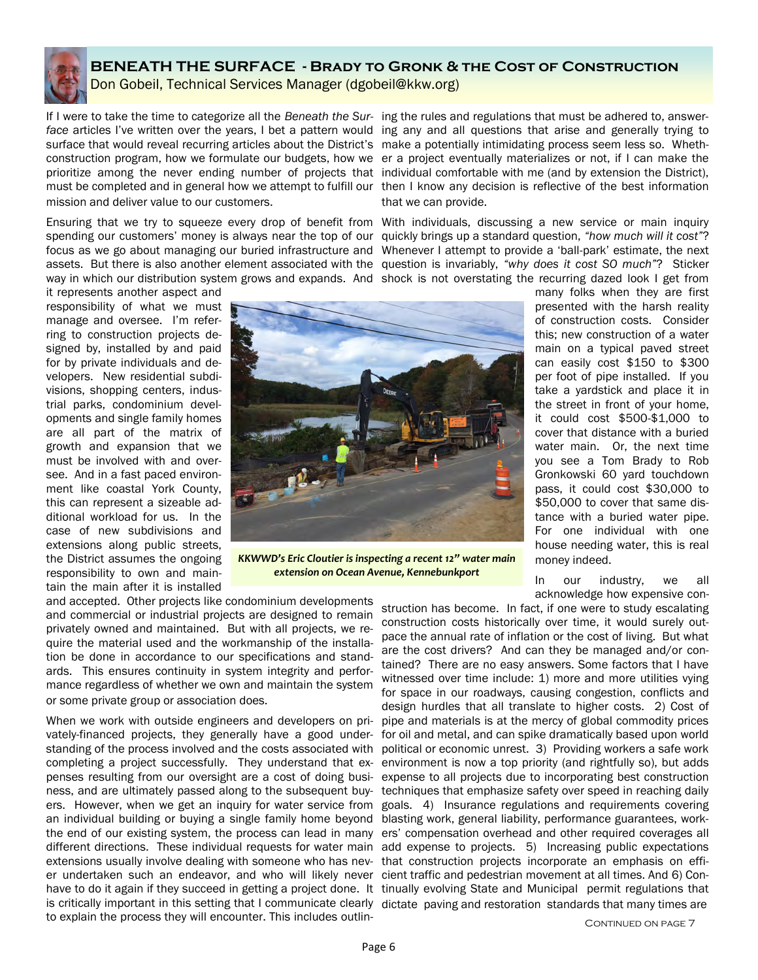

# **BENEATH THE SURFACE - Brady to Gronk & the Cost of Construction**  Don Gobeil, Technical Services Manager (dgobeil@kkw.org)

If I were to take the time to categorize all the *Beneath the Sur-*ing the rules and regulations that must be adhered to, answerface articles I've written over the years, I bet a pattern would ing any and all questions that arise and generally trying to surface that would reveal recurring articles about the District's make a potentially intimidating process seem less so. Whethconstruction program, how we formulate our budgets, how we er a project eventually materializes or not, if I can make the prioritize among the never ending number of projects that individual comfortable with me (and by extension the District), must be completed and in general how we attempt to fulfill our then I know any decision is reflective of the best information mission and deliver value to our customers.

Ensuring that we try to squeeze every drop of benefit from With individuals, discussing a new service or main inquiry focus as we go about managing our buried infrastructure and Whenever I attempt to provide a 'ball-park' estimate, the next assets. But there is also another element associated with the question is invariably, *"why does it cost SO much"*? Sticker

it represents another aspect and responsibility of what we must manage and oversee. I'm referring to construction projects designed by, installed by and paid for by private individuals and developers. New residential subdivisions, shopping centers, industrial parks, condominium developments and single family homes are all part of the matrix of growth and expansion that we must be involved with and oversee. And in a fast paced environment like coastal York County, this can represent a sizeable additional workload for us. In the case of new subdivisions and extensions along public streets, the District assumes the ongoing responsibility to own and maintain the main after it is installed



*KKWWD's Eric Cloutier is inspecting a recent 12" water main extension on Ocean Avenue, Kennebunkport*

and accepted. Other projects like condominium developments and commercial or industrial projects are designed to remain privately owned and maintained. But with all projects, we require the material used and the workmanship of the installation be done in accordance to our specifications and standards. This ensures continuity in system integrity and performance regardless of whether we own and maintain the system or some private group or association does.

When we work with outside engineers and developers on prian individual building or buying a single family home beyond blasting work, general liability, performance guarantees, workextensions usually involve dealing with someone who has nev- that construction projects incorporate an emphasis on effier undertaken such an endeavor, and who will likely never cient traffic and pedestrian movement at all times. And 6) Conis critically important in this setting that I communicate clearly dictate paving and restoration standards that many times are to explain the process they will encounter. This includes outlin-

that we can provide.

spending our customers' money is always near the top of our quickly brings up a standard question, *"how much will it cost"*? way in which our distribution system grows and expands. And shock is not overstating the recurring dazed look I get from

> many folks when they are first presented with the harsh reality of construction costs. Consider this; new construction of a water main on a typical paved street can easily cost \$150 to \$300 per foot of pipe installed. If you take a yardstick and place it in the street in front of your home, it could cost \$500-\$1,000 to cover that distance with a buried water main. Or, the next time you see a Tom Brady to Rob Gronkowski 60 yard touchdown pass, it could cost \$30,000 to \$50,000 to cover that same distance with a buried water pipe. For one individual with one house needing water, this is real money indeed.

In our industry, we all acknowledge how expensive con-

vately-financed projects, they generally have a good under-for oil and metal, and can spike dramatically based upon world standing of the process involved and the costs associated with political or economic unrest. 3) Providing workers a safe work completing a project successfully. They understand that ex-environment is now a top priority (and rightfully so), but adds penses resulting from our oversight are a cost of doing busi-expense to all projects due to incorporating best construction ness, and are ultimately passed along to the subsequent buy- techniques that emphasize safety over speed in reaching daily ers. However, when we get an inquiry for water service from goals. 4) Insurance regulations and requirements covering the end of our existing system, the process can lead in many ers' compensation overhead and other required coverages all different directions. These individual requests for water main add expense to projects. 5) Increasing public expectations have to do it again if they succeed in getting a project done. It tinually evolving State and Municipal permit regulations that struction has become. In fact, if one were to study escalating construction costs historically over time, it would surely outpace the annual rate of inflation or the cost of living. But what are the cost drivers? And can they be managed and/or contained? There are no easy answers. Some factors that I have witnessed over time include: 1) more and more utilities vying for space in our roadways, causing congestion, conflicts and design hurdles that all translate to higher costs. 2) Cost of pipe and materials is at the mercy of global commodity prices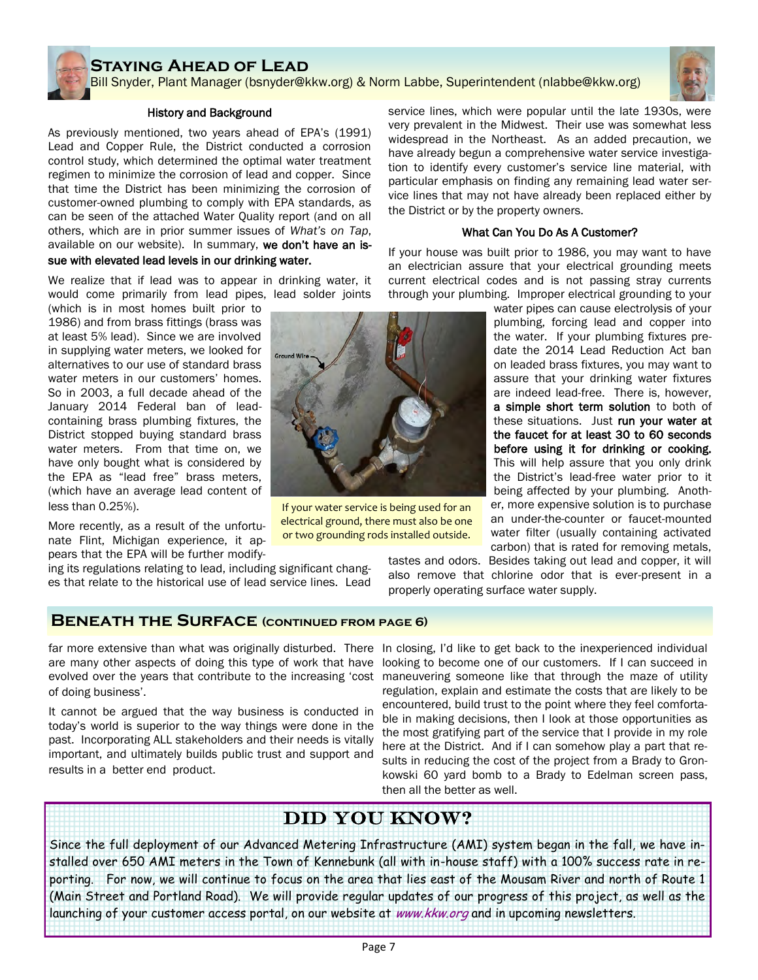# **Staying Ahead of Lead**

Bill Snyder, Plant Manager (bsnyder@kkw.org) & Norm Labbe, Superintendent (nlabbe@kkw.org)

### History and Background

As previously mentioned, two years ahead of EPA's (1991) Lead and Copper Rule, the District conducted a corrosion control study, which determined the optimal water treatment regimen to minimize the corrosion of lead and copper. Since that time the District has been minimizing the corrosion of customer-owned plumbing to comply with EPA standards, as can be seen of the attached Water Quality report (and on all others, which are in prior summer issues of *What's on Tap*, available on our website). In summary, we don't have an issue with elevated lead levels in our drinking water.

We realize that if lead was to appear in drinking water, it would come primarily from lead pipes, lead solder joints

(which is in most homes built prior to 1986) and from brass fittings (brass was at least 5% lead). Since we are involved in supplying water meters, we looked for alternatives to our use of standard brass water meters in our customers' homes. So in 2003, a full decade ahead of the January 2014 Federal ban of leadcontaining brass plumbing fixtures, the District stopped buying standard brass water meters. From that time on, we have only bought what is considered by the EPA as "lead free" brass meters, (which have an average lead content of less than 0.25%).

More recently, as a result of the unfortunate Flint, Michigan experience, it appears that the EPA will be further modify-

ing its regulations relating to lead, including significant changes that relate to the historical use of lead service lines. Lead service lines, which were popular until the late 1930s, were very prevalent in the Midwest. Their use was somewhat less widespread in the Northeast. As an added precaution, we have already begun a comprehensive water service investigation to identify every customer's service line material, with particular emphasis on finding any remaining lead water service lines that may not have already been replaced either by the District or by the property owners.

### What Can You Do As A Customer?

If your house was built prior to 1986, you may want to have an electrician assure that your electrical grounding meets current electrical codes and is not passing stray currents through your plumbing. Improper electrical grounding to your

water pipes can cause electrolysis of your plumbing, forcing lead and copper into the water. If your plumbing fixtures predate the 2014 Lead Reduction Act ban on leaded brass fixtures, you may want to assure that your drinking water fixtures are indeed lead-free. There is, however, a simple short term solution to both of these situations. Just run your water at the faucet for at least 30 to 60 seconds before using it for drinking or cooking. This will help assure that you only drink the District's lead-free water prior to it being affected by your plumbing. Another, more expensive solution is to purchase an under-the-counter or faucet-mounted water filter (usually containing activated carbon) that is rated for removing metals, tastes and odors. Besides taking out lead and copper, it will

also remove that chlorine odor that is ever-present in a properly operating surface water supply.

# **Beneath the Surface (continued from page 6)**

of doing business'.

It cannot be argued that the way business is conducted in today's world is superior to the way things were done in the past. Incorporating ALL stakeholders and their needs is vitally important, and ultimately builds public trust and support and results in a better end product.

far more extensive than what was originally disturbed. There In closing, I'd like to get back to the inexperienced individual are many other aspects of doing this type of work that have looking to become one of our customers. If I can succeed in evolved over the years that contribute to the increasing 'cost maneuvering someone like that through the maze of utility regulation, explain and estimate the costs that are likely to be encountered, build trust to the point where they feel comfortable in making decisions, then I look at those opportunities as the most gratifying part of the service that I provide in my role here at the District. And if I can somehow play a part that results in reducing the cost of the project from a Brady to Gronkowski 60 yard bomb to a Brady to Edelman screen pass, then all the better as well.

# Did you know?

Since the full deployment of our Advanced Metering Infrastructure (AMI) system began in the fall, we have installed over 650 AMI meters in the Town of Kennebunk (all with in-house staff) with a 100% success rate in reporting. For now, we will continue to focus on the area that lies east of the Mousam River and north of Route 1 (Main Street and Portland Road). We will provide regular updates of our progress of this project, as well as the launching of your customer access portal, on our website at *www.kkw.org* and in upcoming newsletters.

Page 7



If your water service is being used for an electrical ground, there must also be one or two grounding rods installed outside.